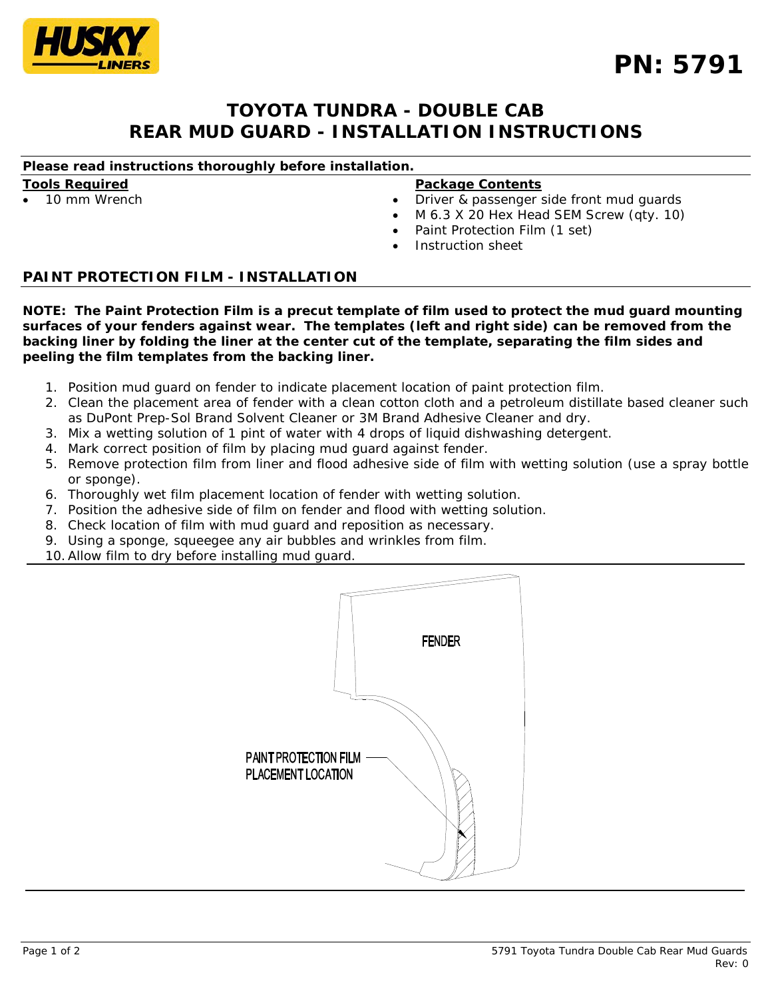

# **TOYOTA TUNDRA - DOUBLE CAB REAR MUD GUARD - INSTALLATION INSTRUCTIONS**

## *Please read instructions thoroughly before installation.*

**Tools Required**

• 10 mm Wrench

#### **Package Contents**

- Driver & passenger side front mud guards
- M 6.3 X 20 Hex Head SEM Screw (qty. 10)
- Paint Protection Film (1 set)
- Instruction sheet

## **PAINT PROTECTION FILM - INSTALLATION**

*NOTE: The Paint Protection Film is a precut template of film used to protect the mud guard mounting surfaces of your fenders against wear. The templates (left and right side) can be removed from the backing liner by folding the liner at the center cut of the template, separating the film sides and peeling the film templates from the backing liner.*

- 1. Position mud guard on fender to indicate placement location of paint protection film.
- 2. Clean the placement area of fender with a clean cotton cloth and a petroleum distillate based cleaner such as DuPont Prep-Sol Brand Solvent Cleaner or 3M Brand Adhesive Cleaner and dry.
- 3. Mix a wetting solution of 1 pint of water with 4 drops of liquid dishwashing detergent.
- 4. Mark correct position of film by placing mud guard against fender.
- 5. Remove protection film from liner and flood adhesive side of film with wetting solution (use a spray bottle or sponge).
- 6. Thoroughly wet film placement location of fender with wetting solution.
- 7. Position the adhesive side of film on fender and flood with wetting solution.
- 8. Check location of film with mud guard and reposition as necessary.
- 9. Using a sponge, squeegee any air bubbles and wrinkles from film.
- 10.Allow film to dry before installing mud guard.